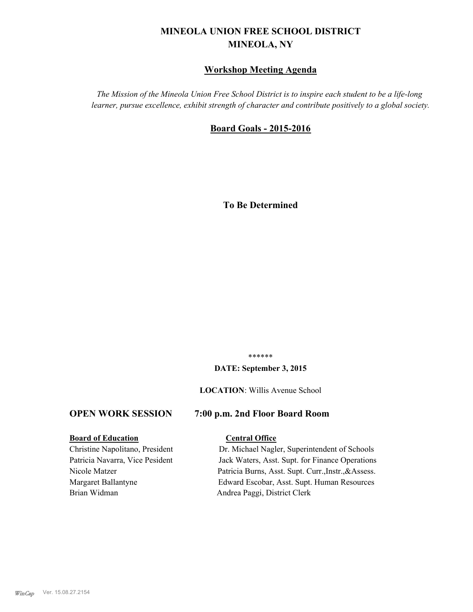# **MINEOLA UNION FREE SCHOOL DISTRICT MINEOLA, NY**

# **Workshop Meeting Agenda**

*The Mission of the Mineola Union Free School District is to inspire each student to be a life-long learner, pursue excellence, exhibit strength of character and contribute positively to a global society.*

# **Board Goals - 2015-2016**

**To Be Determined**

\*\*\*\*\*\*

#### **DATE: September 3, 2015**

#### **LOCATION**: Willis Avenue School

# **OPEN WORK SESSION 7:00 p.m. 2nd Floor Board Room**

#### **Board of Education Central Office**

Brian Widman Andrea Paggi, District Clerk

Christine Napolitano, President Dr. Michael Nagler, Superintendent of Schools Patricia Navarra, Vice Pesident Jack Waters, Asst. Supt. for Finance Operations Nicole Matzer Patricia Burns, Asst. Supt. Curr.,Instr.,&Assess. Margaret Ballantyne Edward Escobar, Asst. Supt. Human Resources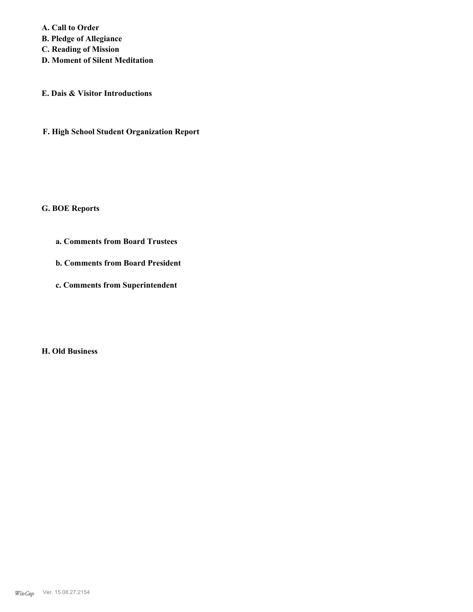**A. Call to Order B. Pledge of Allegiance C. Reading of Mission D. Moment of Silent Meditation**

**E. Dais & Visitor Introductions**

**F. High School Student Organization Report**

**G. BOE Reports**

**a. Comments from Board Trustees**

**b. Comments from Board President**

**c. Comments from Superintendent**

**H. Old Business**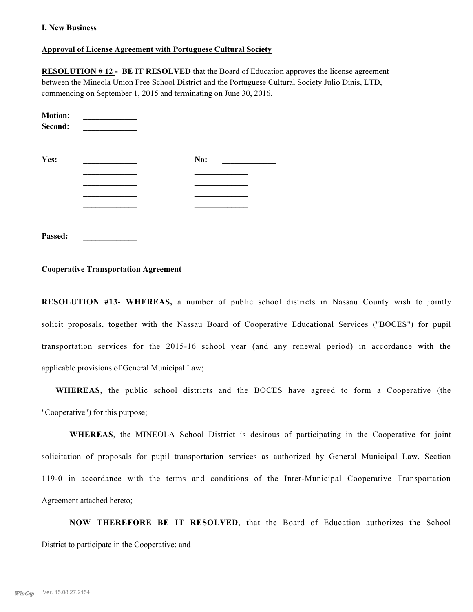#### **I. New Business**

#### **Approval of License Agreement with Portuguese Cultural Society**

**RESOLUTION # 12 - BE IT RESOLVED** that the Board of Education approves the license agreement between the Mineola Union Free School District and the Portuguese Cultural Society Julio Dinis, LTD, commencing on September 1, 2015 and terminating on June 30, 2016.

| <b>Motion:</b><br>Second: |     |
|---------------------------|-----|
| Yes:                      | No: |
|                           |     |
|                           |     |
|                           |     |
|                           |     |
|                           |     |

**Passed: \_\_\_\_\_\_\_\_\_\_\_\_\_**

#### **Cooperative Transportation Agreement**

**RESOLUTION #13- WHEREAS,** a number of public school districts in Nassau County wish to jointly solicit proposals, together with the Nassau Board of Cooperative Educational Services ("BOCES") for pupil transportation services for the 2015-16 school year (and any renewal period) in accordance with the applicable provisions of General Municipal Law;

**WHEREAS**, the public school districts and the BOCES have agreed to form a Cooperative (the "Cooperative") for this purpose;

**WHEREAS**, the MINEOLA School District is desirous of participating in the Cooperative for joint solicitation of proposals for pupil transportation services as authorized by General Municipal Law, Section 119-0 in accordance with the terms and conditions of the Inter-Municipal Cooperative Transportation Agreement attached hereto;

**NOW THEREFORE BE IT RESOLVED**, that the Board of Education authorizes the School District to participate in the Cooperative; and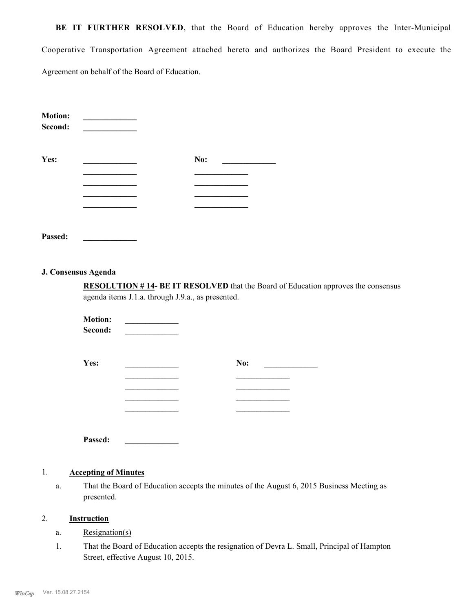**BE IT FURTHER RESOLVED**, that the Board of Education hereby approves the Inter-Municipal Cooperative Transportation Agreement attached hereto and authorizes the Board President to execute the Agreement on behalf of the Board of Education.

| <b>Motion:</b><br>Second: |     |
|---------------------------|-----|
| Yes:                      | No: |
|                           |     |
|                           |     |
|                           |     |
|                           |     |
|                           |     |
|                           |     |

**J. Consensus Agenda**

**Passed: \_\_\_\_\_\_\_\_\_\_\_\_\_**

**RESOLUTION # 14- BE IT RESOLVED** that the Board of Education approves the consensus agenda items J.1.a. through J.9.a., as presented.

|  | No: |  |
|--|-----|--|
|  |     |  |
|  |     |  |
|  |     |  |
|  |     |  |
|  |     |  |
|  |     |  |

#### 1. **Accepting of Minutes**

**Passed: \_\_\_\_\_\_\_\_\_\_\_\_\_**

That the Board of Education accepts the minutes of the August 6, 2015 Business Meeting as presented. a.

#### 2. **Instruction**

- a. Resignation(s)
- That the Board of Education accepts the resignation of Devra L. Small, Principal of Hampton Street, effective August 10, 2015. 1.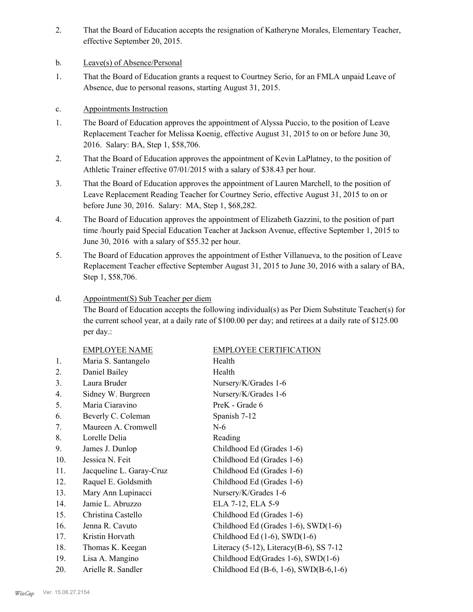- That the Board of Education accepts the resignation of Katheryne Morales, Elementary Teacher, effective September 20, 2015. 2.
- b. Leave(s) of Absence/Personal
- That the Board of Education grants a request to Courtney Serio, for an FMLA unpaid Leave of Absence, due to personal reasons, starting August 31, 2015. 1.

# c. Appointments Instruction

- The Board of Education approves the appointment of Alyssa Puccio, to the position of Leave Replacement Teacher for Melissa Koenig, effective August 31, 2015 to on or before June 30, 2016. Salary: BA, Step 1, \$58,706. 1.
- That the Board of Education approves the appointment of Kevin LaPlatney, to the position of Athletic Trainer effective 07/01/2015 with a salary of \$38.43 per hour. 2.
- That the Board of Education approves the appointment of Lauren Marchell, to the position of Leave Replacement Reading Teacher for Courtney Serio, effective August 31, 2015 to on or before June 30, 2016. Salary: MA, Step 1, \$68,282. 3.
- The Board of Education approves the appointment of Elizabeth Gazzini, to the position of part time /hourly paid Special Education Teacher at Jackson Avenue, effective September 1, 2015 to June 30, 2016 with a salary of \$55.32 per hour. 4.
- The Board of Education approves the appointment of Esther Villanueva, to the position of Leave Replacement Teacher effective September August 31, 2015 to June 30, 2016 with a salary of BA, Step 1, \$58,706. 5.

#### Appointment(S) Sub Teacher per diem d.

The Board of Education accepts the following individual(s) as Per Diem Substitute Teacher(s) for the current school year, at a daily rate of \$100.00 per day; and retirees at a daily rate of \$125.00 per day.:

|     | <b>EMPLOYEE NAME</b>     | <b>EMPLOYEE CERTIFICATION</b>                  |
|-----|--------------------------|------------------------------------------------|
| 1.  | Maria S. Santangelo      | Health                                         |
| 2.  | Daniel Bailey            | Health                                         |
| 3.  | Laura Bruder             | Nursery/K/Grades 1-6                           |
| 4.  | Sidney W. Burgreen       | Nursery/K/Grades 1-6                           |
| 5.  | Maria Ciaravino          | PreK - Grade 6                                 |
| 6.  | Beverly C. Coleman       | Spanish 7-12                                   |
| 7.  | Maureen A. Cromwell      | $N-6$                                          |
| 8.  | Lorelle Delia            | Reading                                        |
| 9.  | James J. Dunlop          | Childhood Ed (Grades 1-6)                      |
| 10. | Jessica N. Feit          | Childhood Ed (Grades 1-6)                      |
| 11. | Jacqueline L. Garay-Cruz | Childhood Ed (Grades 1-6)                      |
| 12. | Raquel E. Goldsmith      | Childhood Ed (Grades 1-6)                      |
| 13. | Mary Ann Lupinacci       | Nursery/K/Grades 1-6                           |
| 14. | Jamie L. Abruzzo         | ELA 7-12, ELA 5-9                              |
| 15. | Christina Castello       | Childhood Ed (Grades 1-6)                      |
| 16. | Jenna R. Cavuto          | Childhood Ed (Grades 1-6), SWD(1-6)            |
| 17. | Kristin Horvath          | Childhood Ed $(1-6)$ , SWD $(1-6)$             |
| 18. | Thomas K. Keegan         | Literacy $(5-12)$ , Literacy $(B-6)$ , SS 7-12 |
| 19. | Lisa A. Mangino          | Childhood Ed(Grades 1-6), SWD(1-6)             |
| 20. | Arielle R. Sandler       | Childhood Ed (B-6, 1-6), SWD(B-6, 1-6)         |
|     |                          |                                                |

#### *WinCap* Ver. 15.08.27.2154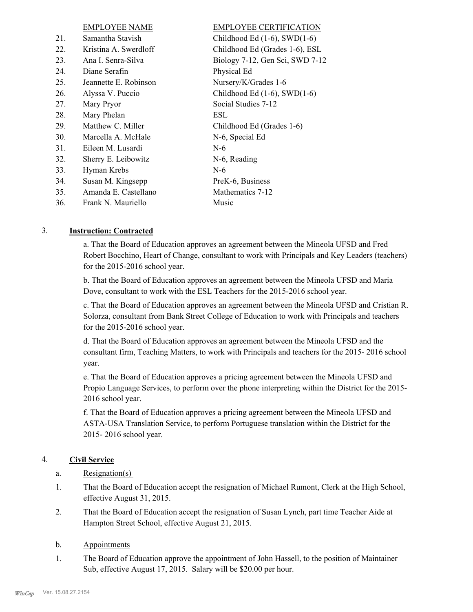|     | <b>EMPLOYEE NAME</b>  | <b>EMPLOYEE CERTIFICATION</b>      |
|-----|-----------------------|------------------------------------|
| 21. | Samantha Stavish      | Childhood Ed $(1-6)$ , SWD $(1-6)$ |
| 22. | Kristina A. Swerdloff | Childhood Ed (Grades 1-6), ESL     |
| 23. | Ana I. Senra-Silva    | Biology 7-12, Gen Sci, SWD 7-12    |
| 24. | Diane Serafin         | Physical Ed                        |
| 25. | Jeannette E. Robinson | Nursery/K/Grades 1-6               |
| 26. | Alyssa V. Puccio      | Childhood Ed $(1-6)$ , SWD $(1-6)$ |
| 27. | Mary Pryor            | Social Studies 7-12                |
| 28. | Mary Phelan           | ESL                                |
| 29. | Matthew C. Miller     | Childhood Ed (Grades 1-6)          |
| 30. | Marcella A. McHale    | N-6, Special Ed                    |
| 31. | Eileen M. Lusardi     | $N-6$                              |
| 32. | Sherry E. Leibowitz   | N-6, Reading                       |
| 33. | Hyman Krebs           | $N-6$                              |
| 34. | Susan M. Kingsepp     | PreK-6, Business                   |
| 35. | Amanda E. Castellano  | Mathematics 7-12                   |
| 36. | Frank N. Mauriello    | Music                              |
|     |                       |                                    |

## 3. **Instruction: Contracted**

a. That the Board of Education approves an agreement between the Mineola UFSD and Fred Robert Bocchino, Heart of Change, consultant to work with Principals and Key Leaders (teachers) for the 2015-2016 school year.

b. That the Board of Education approves an agreement between the Mineola UFSD and Maria Dove, consultant to work with the ESL Teachers for the 2015-2016 school year.

c. That the Board of Education approves an agreement between the Mineola UFSD and Cristian R. Solorza, consultant from Bank Street College of Education to work with Principals and teachers for the 2015-2016 school year.

d. That the Board of Education approves an agreement between the Mineola UFSD and the consultant firm, Teaching Matters, to work with Principals and teachers for the 2015- 2016 school year.

e. That the Board of Education approves a pricing agreement between the Mineola UFSD and Propio Language Services, to perform over the phone interpreting within the District for the 2015- 2016 school year.

f. That the Board of Education approves a pricing agreement between the Mineola UFSD and ASTA-USA Translation Service, to perform Portuguese translation within the District for the 2015- 2016 school year.

# 4. **Civil Service**

- a. Resignation(s)
- That the Board of Education accept the resignation of Michael Rumont, Clerk at the High School, effective August 31, 2015. 1.
- That the Board of Education accept the resignation of Susan Lynch, part time Teacher Aide at Hampton Street School, effective August 21, 2015. 2.

#### b. Appointments

The Board of Education approve the appointment of John Hassell, to the position of Maintainer Sub, effective August 17, 2015. Salary will be \$20.00 per hour. 1.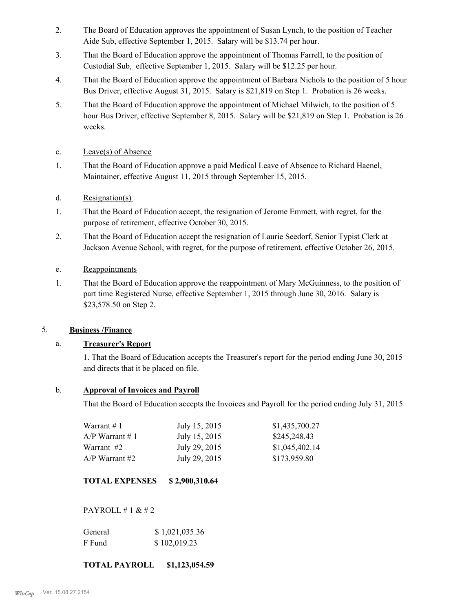- The Board of Education approves the appointment of Susan Lynch, to the position of Teacher Aide Sub, effective September 1, 2015. Salary will be \$13.74 per hour. 2.
- That the Board of Education approve the appointment of Thomas Farrell, to the position of Custodial Sub, effective September 1, 2015. Salary will be \$12.25 per hour. 3.
- That the Board of Education approve the appointment of Barbara Nichols to the position of 5 hour Bus Driver, effective August 31, 2015. Salary is \$21,819 on Step 1. Probation is 26 weeks. 4.
- That the Board of Education approve the appointment of Michael Milwich, to the position of 5 hour Bus Driver, effective September 8, 2015. Salary will be \$21,819 on Step 1. Probation is 26 weeks. 5.
- c. Leave(s) of Absence
- That the Board of Education approve a paid Medical Leave of Absence to Richard Haenel, Maintainer, effective August 11, 2015 through September 15, 2015. 1.
- d. Resignation(s)
- That the Board of Education accept, the resignation of Jerome Emmett, with regret, for the purpose of retirement, effective October 30, 2015. 1.
- That the Board of Education accept the resignation of Laurie Seedorf, Senior Typist Clerk at Jackson Avenue School, with regret, for the purpose of retirement, effective October 26, 2015. 2.
- e. Reappointments
- That the Board of Education approve the reappointment of Mary McGuinness, to the position of part time Registered Nurse, effective September 1, 2015 through June 30, 2016. Salary is \$23,578.50 on Step 2. 1.

# 5. **Business /Finance**

# a. **Treasurer's Report**

1. That the Board of Education accepts the Treasurer's report for the period ending June 30, 2015 and directs that it be placed on file.

# b. **Approval of Invoices and Payroll**

That the Board of Education accepts the Invoices and Payroll for the period ending July 31, 2015

| Warrant #1        | July 15, 2015 | \$1,435,700.27 |
|-------------------|---------------|----------------|
| $A/P$ Warrant # 1 | July 15, 2015 | \$245,248.43   |
| Warrant #2        | July 29, 2015 | \$1,045,402.14 |
| $A/P$ Warrant #2  | July 29, 2015 | \$173,959.80   |

**TOTAL EXPENSES \$ 2,900,310.64**

PAYROLL # 1 & # 2

| General | \$1,021,035.36 |
|---------|----------------|
| F Fund  | \$102,019.23   |

# **TOTAL PAYROLL \$1,123,054.59**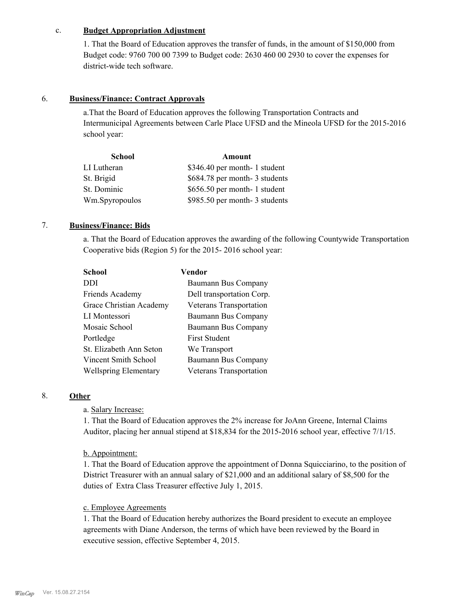#### c. **Budget Appropriation Adjustment**

1. That the Board of Education approves the transfer of funds, in the amount of \$150,000 from Budget code: 9760 700 00 7399 to Budget code: 2630 460 00 2930 to cover the expenses for district-wide tech software.

## 6. **Business/Finance: Contract Approvals**

a.That the Board of Education approves the following Transportation Contracts and Intermunicipal Agreements between Carle Place UFSD and the Mineola UFSD for the 2015-2016 school year:

| <b>School</b>  | Amount                        |  |
|----------------|-------------------------------|--|
| LI Lutheran    | \$346.40 per month- 1 student |  |
| St. Brigid     | \$684.78 per month-3 students |  |
| St. Dominic    | \$656.50 per month- 1 student |  |
| Wm.Spyropoulos | \$985.50 per month-3 students |  |

# 7. **Business/Finance: Bids**

a. That the Board of Education approves the awarding of the following Countywide Transportation Cooperative bids (Region 5) for the 2015- 2016 school year:

| <b>School</b>                | Vendor                    |
|------------------------------|---------------------------|
| DDI                          | Baumann Bus Company       |
| Friends Academy              | Dell transportation Corp. |
| Grace Christian Academy      | Veterans Transportation   |
| LI Montessori                | Baumann Bus Company       |
| Mosaic School                | Baumann Bus Company       |
| Portledge                    | <b>First Student</b>      |
| St. Elizabeth Ann Seton      | We Transport              |
| Vincent Smith School         | Baumann Bus Company       |
| <b>Wellspring Elementary</b> | Veterans Transportation   |

## 8. **Other**

a. Salary Increase:

1. That the Board of Education approves the 2% increase for JoAnn Greene, Internal Claims Auditor, placing her annual stipend at \$18,834 for the 2015-2016 school year, effective 7/1/15.

#### b. Appointment:

1. That the Board of Education approve the appointment of Donna Squicciarino, to the position of District Treasurer with an annual salary of \$21,000 and an additional salary of \$8,500 for the duties of Extra Class Treasurer effective July 1, 2015.

## c. Employee Agreements

1. That the Board of Education hereby authorizes the Board president to execute an employee agreements with Diane Anderson, the terms of which have been reviewed by the Board in executive session, effective September 4, 2015.